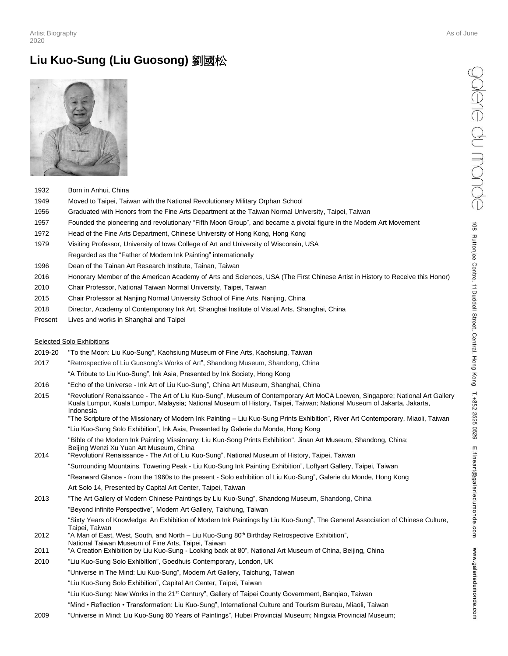# **Liu Kuo-Sung (Liu Guosong)** 劉國松



- 1932 Born in Anhui, China
- 1949 Moved to Taipei, Taiwan with the National Revolutionary Military Orphan School
- 1956 Graduated with Honors from the Fine Arts Department at the Taiwan Normal University, Taipei, Taiwan
- 1957 Founded the pioneering and revolutionary "Fifth Moon Group", and became a pivotal figure in the Modern Art Movement
- 1972 Head of the Fine Arts Department, Chinese University of Hong Kong, Hong Kong
- 1979 Visiting Professor, University of Iowa College of Art and University of Wisconsin, USA
- Regarded as the "Father of Modern Ink Painting" internationally
- 1996 Dean of the Tainan Art Research Institute, Tainan, Taiwan
- 2016 Honorary Member of the American Academy of Arts and Sciences, USA (The First Chinese Artist in History to Receive this Honor)
- 2010 Chair Professor, National Taiwan Normal University, Taipei, Taiwan
- 2015 Chair Professor at Nanjing Normal University School of Fine Arts, Nanjing, China
- 2018 Director, Academy of Contemporary Ink Art, Shanghai Institute of Visual Arts, Shanghai, China
- Present Lives and works in Shanghai and Taipei

#### Selected Solo Exhibitions

- 2019-20 "To the Moon: Liu Kuo-Sung", Kaohsiung Museum of Fine Arts, Kaohsiung, Taiwan
- 2017 "Retrospective of Liu Guosong's Works of Art", Shandong Museum, Shandong, China
	- "A Tribute to Liu Kuo-Sung", Ink Asia, Presented by Ink Society, Hong Kong
- 2016 "Echo of the Universe Ink Art of Liu Kuo-Sung", China Art Museum, Shanghai, China
- 2015 "Revolution/ Renaissance The Art of Liu Kuo-Sung", Museum of Contemporary Art MoCA Loewen, Singapore; National Art Gallery Kuala Lumpur, Kuala Lumpur, Malaysia; National Museum of History, Taipei, Taiwan; National Museum of Jakarta, Jakarta, Indonesia
	- "The Scripture of the Missionary of Modern Ink Painting Liu Kuo-Sung Prints Exhibition", River Art Contemporary, Miaoli, Taiwan
	- "Liu Kuo-Sung Solo Exhibition", Ink Asia, Presented by Galerie du Monde, Hong Kong
	- "Bible of the Modern Ink Painting Missionary: Liu Kuo-Song Prints Exhibition", Jinan Art Museum, Shandong, China; Beijing Wenzi Xu Yuan Art Museum, China
- 2014 "Revolution/ Renaissance The Art of Liu Kuo-Sung", National Museum of History, Taipei, Taiwan
	- "Surrounding Mountains, Towering Peak Liu Kuo-Sung Ink Painting Exhibition", Loftyart Gallery, Taipei, Taiwan
	- "Rearward Glance from the 1960s to the present Solo exhibition of Liu Kuo-Sung", Galerie du Monde, Hong Kong
	- Art Solo 14, Presented by Capital Art Center, Taipei, Taiwan
- 2013 "The Art Gallery of Modern Chinese Paintings by Liu Kuo-Sung", Shandong Museum, Shandong, China
	- "Beyond infinite Perspective", Modern Art Gallery, Taichung, Taiwan
		- "Sixty Years of Knowledge: An Exhibition of Modern Ink Paintings by Liu Kuo-Sung", The General Association of Chinese Culture, Taipei, Taiwan
- 2012 "A Man of East, West, South, and North Liu Kuo-Sung 80th Birthday Retrospective Exhibition", National Taiwan Museum of Fine Arts, Taipei, Taiwan
- 2011 "A Creation Exhibition by Liu Kuo-Sung Looking back at 80", National Art Museum of China, Beijing, China
- 2010 "Liu Kuo-Sung Solo Exhibition", Goedhuis Contemporary, London, UK
	- "Universe in The Mind: Liu Kuo-Sung", Modern Art Gallery, Taichung, Taiwan
		- "Liu Kuo-Sung Solo Exhibition", Capital Art Center, Taipei, Taiwan
		- "Liu Kuo-Sung: New Works in the 21st Century", Gallery of Taipei County Government, Banqiao, Taiwan
	- "Mind Reflection Transformation: Liu Kuo-Sung", International Culture and Tourism Bureau, Miaoli, Taiwan
- 2009 "Universe in Mind: Liu Kuo-Sung 60 Years of Paintings", Hubei Provincial Museum; Ningxia Provincial Museum;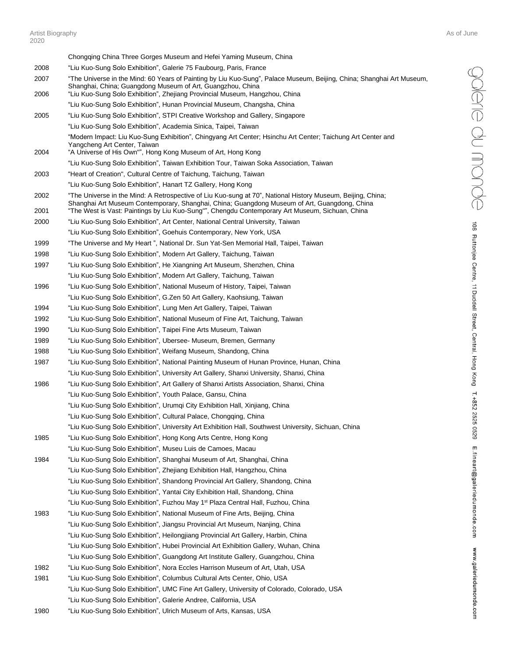Chongqing China Three Gorges Museum and Hefei Yaming Museum, China 2008 "Liu Kuo-Sung Solo Exhibition", Galerie 75 Faubourg, Paris, France 2007 "The Universe in the Mind: 60 Years of Painting by Liu Kuo-Sung", Palace Museum, Beijing, China; Shanghai Art Museum, Shanghai, China; Guangdong Museum of Art, Guangzhou, China 2006 "Liu Kuo-Sung Solo Exhibition", Zhejiang Provincial Museum, Hangzhou, China "Liu Kuo-Sung Solo Exhibition", Hunan Provincial Museum, Changsha, China 2005 "Liu Kuo-Sung Solo Exhibition", STPI Creative Workshop and Gallery, Singapore "Liu Kuo-Sung Solo Exhibition", Academia Sinica, Taipei, Taiwan "Modern Impact: Liu Kuo-Sung Exhibition", Chingyang Art Center; Hsinchu Art Center; Taichung Art Center and Yangcheng Art Center, Taiwan 2004 "A Universe of His Own"", Hong Kong Museum of Art, Hong Kong "Liu Kuo-Sung Solo Exhibition", Taiwan Exhibition Tour, Taiwan Soka Association, Taiwan 2003 "Heart of Creation", Cultural Centre of Taichung, Taichung, Taiwan "Liu Kuo-Sung Solo Exhibition", Hanart TZ Gallery, Hong Kong 2002 "The Universe in the Mind: A Retrospective of Liu Kuo-sung at 70", National History Museum, Beijing, China; Shanghai Art Museum Contemporary, Shanghai, China; Guangdong Museum of Art, Guangdong, China 2001 "The West is Vast: Paintings by Liu Kuo-Sung"", Chengdu Contemporary Art Museum, Sichuan, China 2000 "Liu Kuo-Sung Solo Exhibition", Art Center, National Central University, Taiwan "Liu Kuo-Sung Solo Exhibition", Goehuis Contemporary, New York, USA 1999 "The Universe and My Heart ", National Dr. Sun Yat-Sen Memorial Hall, Taipei, Taiwan 1998 "Liu Kuo-Sung Solo Exhibition", Modern Art Gallery, Taichung, Taiwan 1997 "Liu Kuo-Sung Solo Exhibition", He Xiangning Art Museum, Shenzhen, China "Liu Kuo-Sung Solo Exhibition", Modern Art Gallery, Taichung, Taiwan 1996 "Liu Kuo-Sung Solo Exhibition", National Museum of History, Taipei, Taiwan "Liu Kuo-Sung Solo Exhibition", G.Zen 50 Art Gallery, Kaohsiung, Taiwan 1994 "Liu Kuo-Sung Solo Exhibition", Lung Men Art Gallery, Taipei, Taiwan 1992 "Liu Kuo-Sung Solo Exhibition", National Museum of Fine Art, Taichung, Taiwan 1990 "Liu Kuo-Sung Solo Exhibition", Taipei Fine Arts Museum, Taiwan 1989 "Liu Kuo-Sung Solo Exhibition", Ubersee- Museum, Bremen, Germany 1988 "Liu Kuo-Sung Solo Exhibition", Weifang Museum, Shandong, China 1987 "Liu Kuo-Sung Solo Exhibition", National Painting Museum of Hunan Province, Hunan, China "Liu Kuo-Sung Solo Exhibition", University Art Gallery, Shanxi University, Shanxi, China 1986 "Liu Kuo-Sung Solo Exhibition", Art Gallery of Shanxi Artists Association, Shanxi, China "Liu Kuo-Sung Solo Exhibition", Youth Palace, Gansu, China "Liu Kuo-Sung Solo Exhibition", Urumqi City Exhibition Hall, Xinjiang, China "Liu Kuo-Sung Solo Exhibition", Cultural Palace, Chongqing, China "Liu Kuo-Sung Solo Exhibition", University Art Exhibition Hall, Southwest University, Sichuan, China 1985 "Liu Kuo-Sung Solo Exhibition", Hong Kong Arts Centre, Hong Kong "Liu Kuo-Sung Solo Exhibition", Museu Luis de Camoes, Macau 1984 "Liu Kuo-Sung Solo Exhibition", Shanghai Museum of Art, Shanghai, China "Liu Kuo-Sung Solo Exhibition", Zhejiang Exhibition Hall, Hangzhou, China "Liu Kuo-Sung Solo Exhibition", Shandong Provincial Art Gallery, Shandong, China "Liu Kuo-Sung Solo Exhibition", Yantai City Exhibition Hall, Shandong, China "Liu Kuo-Sung Solo Exhibition", Fuzhou May 1<sup>st</sup> Plaza Central Hall, Fuzhou, China 1983 "Liu Kuo-Sung Solo Exhibition", National Museum of Fine Arts, Beijing, China "Liu Kuo-Sung Solo Exhibition", Jiangsu Provincial Art Museum, Nanjing, China "Liu Kuo-Sung Solo Exhibition", Heilongjiang Provincial Art Gallery, Harbin, China "Liu Kuo-Sung Solo Exhibition", Hubei Provincial Art Exhibition Gallery, Wuhan, China "Liu Kuo-Sung Solo Exhibition", Guangdong Art Institute Gallery, Guangzhou, China 1982 "Liu Kuo-Sung Solo Exhibition", Nora Eccles Harrison Museum of Art, Utah, USA 1981 "Liu Kuo-Sung Solo Exhibition", Columbus Cultural Arts Center, Ohio, USA "Liu Kuo-Sung Solo Exhibition", UMC Fine Art Gallery, University of Colorado, Colorado, USA "Liu Kuo-Sung Solo Exhibition", Galerie Andree, California, USA

1980 "Liu Kuo-Sung Solo Exhibition", Ulrich Museum of Arts, Kansas, USA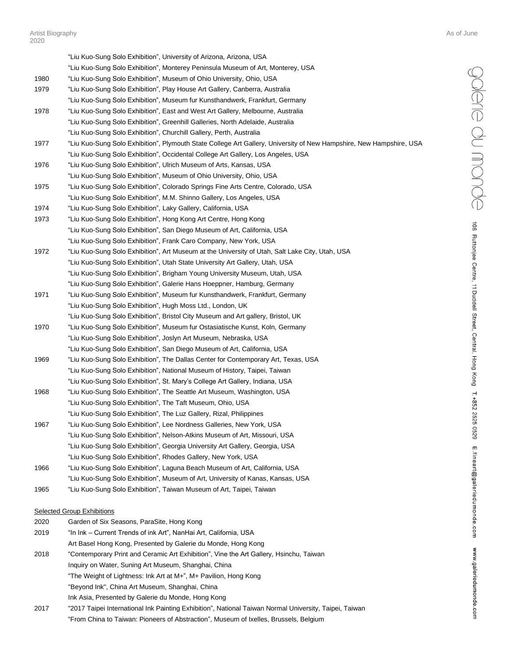| - V 4 V |                                                                                                                                    |
|---------|------------------------------------------------------------------------------------------------------------------------------------|
|         | "Liu Kuo-Sung Solo Exhibition", University of Arizona, Arizona, USA                                                                |
|         | "Liu Kuo-Sung Solo Exhibition", Monterey Peninsula Museum of Art, Monterey, USA                                                    |
| 1980    | "Liu Kuo-Sung Solo Exhibition", Museum of Ohio University, Ohio, USA                                                               |
| 1979    | "Liu Kuo-Sung Solo Exhibition", Play House Art Gallery, Canberra, Australia                                                        |
|         | "Liu Kuo-Sung Solo Exhibition", Museum fur Kunsthandwerk, Frankfurt, Germany                                                       |
| 1978    | "Liu Kuo-Sung Solo Exhibition", East and West Art Gallery, Melbourne, Australia                                                    |
|         | "Liu Kuo-Sung Solo Exhibition", Greenhill Galleries, North Adelaide, Australia                                                     |
|         | "Liu Kuo-Sung Solo Exhibition", Churchill Gallery, Perth, Australia                                                                |
| 1977    | "Liu Kuo-Sung Solo Exhibition", Plymouth State College Art Gallery, University of New Hampshire, New Hampshire, USA                |
|         | "Liu Kuo-Sung Solo Exhibition", Occidental College Art Gallery, Los Angeles, USA                                                   |
| 1976    | "Liu Kuo-Sung Solo Exhibition", Ulrich Museum of Arts, Kansas, USA                                                                 |
|         | "Liu Kuo-Sung Solo Exhibition", Museum of Ohio University, Ohio, USA                                                               |
| 1975    | "Liu Kuo-Sung Solo Exhibition", Colorado Springs Fine Arts Centre, Colorado, USA                                                   |
|         | "Liu Kuo-Sung Solo Exhibition", M.M. Shinno Gallery, Los Angeles, USA                                                              |
| 1974    | "Liu Kuo-Sung Solo Exhibition", Laky Gallery, California, USA                                                                      |
| 1973    | "Liu Kuo-Sung Solo Exhibition", Hong Kong Art Centre, Hong Kong                                                                    |
|         | "Liu Kuo-Sung Solo Exhibition", San Diego Museum of Art, California, USA                                                           |
|         | "Liu Kuo-Sung Solo Exhibition", Frank Caro Company, New York, USA                                                                  |
| 1972    | "Liu Kuo-Sung Solo Exhibition", Art Museum at the University of Utah, Salt Lake City, Utah, USA                                    |
|         | "Liu Kuo-Sung Solo Exhibition", Utah State University Art Gallery, Utah, USA                                                       |
|         | "Liu Kuo-Sung Solo Exhibition", Brigham Young University Museum, Utah, USA                                                         |
|         | "Liu Kuo-Sung Solo Exhibition", Galerie Hans Hoeppner, Hamburg, Germany                                                            |
| 1971    | "Liu Kuo-Sung Solo Exhibition", Museum fur Kunsthandwerk, Frankfurt, Germany                                                       |
|         | "Liu Kuo-Sung Solo Exhibition", Hugh Moss Ltd., London, UK                                                                         |
|         | "Liu Kuo-Sung Solo Exhibition", Bristol City Museum and Art gallery, Bristol, UK                                                   |
| 1970    | "Liu Kuo-Sung Solo Exhibition", Museum fur Ostasiatische Kunst, Koln, Germany                                                      |
|         | "Liu Kuo-Sung Solo Exhibition", Joslyn Art Museum, Nebraska, USA                                                                   |
|         | "Liu Kuo-Sung Solo Exhibition", San Diego Museum of Art, California, USA                                                           |
| 1969    | "Liu Kuo-Sung Solo Exhibition", The Dallas Center for Contemporary Art, Texas, USA                                                 |
|         | "Liu Kuo-Sung Solo Exhibition", National Museum of History, Taipei, Taiwan                                                         |
|         | "Liu Kuo-Sung Solo Exhibition", St. Mary's College Art Gallery, Indiana, USA                                                       |
| 1968    | "Liu Kuo-Sung Solo Exhibition", The Seattle Art Museum, Washington, USA                                                            |
|         | "Liu Kuo-Sung Solo Exhibition", The Taft Museum, Ohio, USA                                                                         |
|         | "Liu Kuo-Sung Solo Exhibition", The Luz Gallery, Rizal, Philippines                                                                |
| 1967    | "Liu Kuo-Sung Solo Exhibition", Lee Nordness Galleries, New York, USA                                                              |
|         | "Liu Kuo-Sung Solo Exhibition", Nelson-Atkins Museum of Art, Missouri, USA                                                         |
|         | "Liu Kuo-Sung Solo Exhibition", Georgia University Art Gallery, Georgia, USA                                                       |
|         | "Liu Kuo-Sung Solo Exhibition", Rhodes Gallery, New York, USA                                                                      |
| 1966    | "Liu Kuo-Sung Solo Exhibition", Laguna Beach Museum of Art, California, USA                                                        |
|         | "Liu Kuo-Sung Solo Exhibition", Museum of Art, University of Kanas, Kansas, USA                                                    |
| 1965    | "Liu Kuo-Sung Solo Exhibition", Taiwan Museum of Art, Taipei, Taiwan                                                               |
|         |                                                                                                                                    |
|         | <b>Selected Group Exhibitions</b>                                                                                                  |
| 2020    | Garden of Six Seasons, ParaSite, Hong Kong                                                                                         |
| 2019    | "In Ink – Current Trends of ink Art", NanHai Art, California, USA<br>Art Basel Hong Kong, Presented by Galerie du Monde, Hong Kong |
| 2018    | "Contemporary Print and Ceramic Art Exhibition", Vine the Art Gallery, Hsinchu, Taiwan                                             |
|         | Inquiry on Water, Suning Art Museum, Shanghai, China                                                                               |
|         |                                                                                                                                    |

"The Weight of Lightness: Ink Art at M+", M+ Pavilion, Hong Kong

"Beyond Ink", China Art Museum, Shanghai, China

- Ink Asia, Presented by Galerie du Monde, Hong Kong
- 2017 "2017 Taipei International Ink Painting Exhibition", National Taiwan Normal University, Taipei, Taiwan "From China to Taiwan: Pioneers of Abstraction", Museum of Ixelles, Brussels, Belgium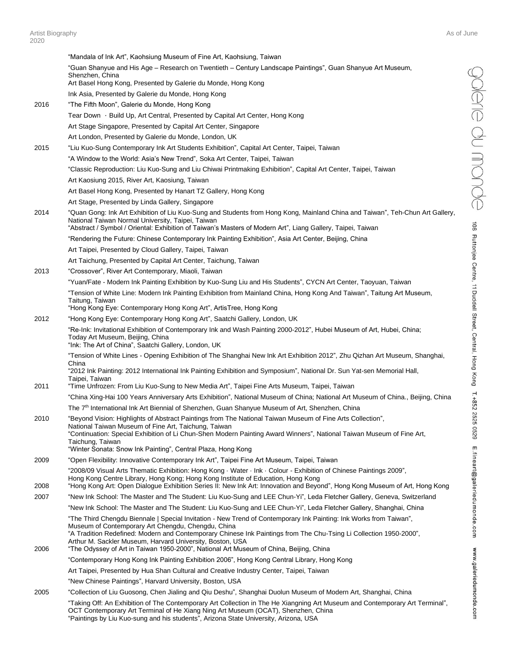"Mandala of Ink Art", Kaohsiung Museum of Fine Art, Kaohsiung, Taiwan "Guan Shanyue and His Age – Research on Twentieth – Century Landscape Paintings", Guan Shanyue Art Museum, Shenzhen, China Art Basel Hong Kong, Presented by Galerie du Monde, Hong Kong Ink Asia, Presented by Galerie du Monde, Hong Kong 2016 "The Fifth Moon", Galerie du Monde, Hong Kong Tear Down · Build Up, Art Central, Presented by Capital Art Center, Hong Kong Art Stage Singapore, Presented by Capital Art Center, Singapore Art London, Presented by Galerie du Monde, London, UK 2015 "Liu Kuo-Sung Contemporary Ink Art Students Exhibition", Capital Art Center, Taipei, Taiwan "A Window to the World: Asia's New Trend", Soka Art Center, Taipei, Taiwan "Classic Reproduction: Liu Kuo-Sung and Liu Chiwai Printmaking Exhibition", Capital Art Center, Taipei, Taiwan Art Kaosiung 2015, River Art, Kaosiung, Taiwan Art Basel Hong Kong, Presented by Hanart TZ Gallery, Hong Kong Art Stage, Presented by Linda Gallery, Singapore 2014 "Quan Gong: Ink Art Exhibition of Liu Kuo-Sung and Students from Hong Kong, Mainland China and Taiwan", Teh-Chun Art Gallery, National Taiwan Normal University, Taipei, Taiwan "Abstract / Symbol / Oriental: Exhibition of Taiwan's Masters of Modern Art", Liang Gallery, Taipei, Taiwan "Rendering the Future: Chinese Contemporary Ink Painting Exhibition", Asia Art Center, Beijing, China Art Taipei, Presented by Cloud Gallery, Taipei, Taiwan Art Taichung, Presented by Capital Art Center, Taichung, Taiwan 2013 "Crossover", River Art Contemporary, Miaoli, Taiwan "Yuan/Fate - Modern Ink Painting Exhibition by Kuo-Sung Liu and His Students", CYCN Art Center, Taoyuan, Taiwan "Tension of White Line: Modern Ink Painting Exhibition from Mainland China, Hong Kong And Taiwan", Taitung Art Museum, Taitung, Taiwan "Hong Kong Eye: Contemporary Hong Kong Art", ArtisTree, Hong Kong 2012 "Hong Kong Eye: Contemporary Hong Kong Art", Saatchi Gallery, London, UK "Re-Ink: Invitational Exhibition of Contemporary Ink and Wash Painting 2000-2012", Hubei Museum of Art, Hubei, China; Today Art Museum, Beijing, China "Ink: The Art of China", Saatchi Gallery, London, UK "Tension of White Lines - Opening Exhibition of The Shanghai New Ink Art Exhibition 2012", Zhu Qizhan Art Museum, Shanghai, China "2012 Ink Painting: 2012 International Ink Painting Exhibition and Symposium", National Dr. Sun Yat-sen Memorial Hall, Taipei, Taiwan 2011 "Time Unfrozen: From Liu Kuo-Sung to New Media Art", Taipei Fine Arts Museum, Taipei, Taiwan "China Xing-Hai 100 Years Anniversary Arts Exhibition", National Museum of China; National Art Museum of China., Beijing, China The 7<sup>th</sup> International Ink Art Biennial of Shenzhen, Guan Shanyue Museum of Art, Shenzhen, China 2010 "Beyond Vision: Highlights of Abstract Paintings from The National Taiwan Museum of Fine Arts Collection", National Taiwan Museum of Fine Art, Taichung, Taiwan "Continuation: Special Exhibition of Li Chun-Shen Modern Painting Award Winners", National Taiwan Museum of Fine Art, Taichung, Taiwan "Winter Sonata: Snow Ink Painting", Central Plaza, Hong Kong 2009 "Open Flexibility: Innovative Contemporary Ink Art", Taipei Fine Art Museum, Taipei, Taiwan "2008/09 Visual Arts Thematic Exhibition: Hong Kong · Water · Ink · Colour - Exhibition of Chinese Paintings 2009", Hong Kong Centre Library, Hong Kong; Hong Kong Institute of Education, Hong Kong 2008 "Hong Kong Art: Open Dialogue Exhibition Series II: New Ink Art: Innovation and Beyond", Hong Kong Museum of Art, Hong Kong 2007 "New Ink School: The Master and The Student: Liu Kuo-Sung and LEE Chun-Yi", Leda Fletcher Gallery, Geneva, Switzerland "New Ink School: The Master and The Student: Liu Kuo-Sung and LEE Chun-Yi", Leda Fletcher Gallery, Shanghai, China "The Third Chengdu Biennale | Special Invitation - New Trend of Contemporary Ink Painting: Ink Works from Taiwan", Museum of Contemporary Art Chengdu, Chengdu, China "A Tradition Redefined: Modern and Contemporary Chinese Ink Paintings from The Chu-Tsing Li Collection 1950-2000", Arthur M. Sackler Museum, Harvard University, Boston, USA 2006 "The Odyssey of Art in Taiwan 1950-2000", National Art Museum of China, Beijing, China "Contemporary Hong Kong Ink Painting Exhibition 2006", Hong Kong Central Library, Hong Kong Art Taipei, Presented by Hua Shan Cultural and Creative Industry Center, Taipei, Taiwan "New Chinese Paintings", Harvard University, Boston, USA 2005 "Collection of Liu Guosong, Chen Jialing and Qiu Deshu", Shanghai Duolun Museum of Modern Art, Shanghai, China "Taking Off: An Exhibition of The Contemporary Art Collection in The He Xiangning Art Museum and Contemporary Art Terminal", OCT Contemporary Art Terminal of He Xiang Ning Art Museum (OCAT), Shenzhen, China

"Paintings by Liu Kuo-sung and his students", Arizona State University, Arizona, USA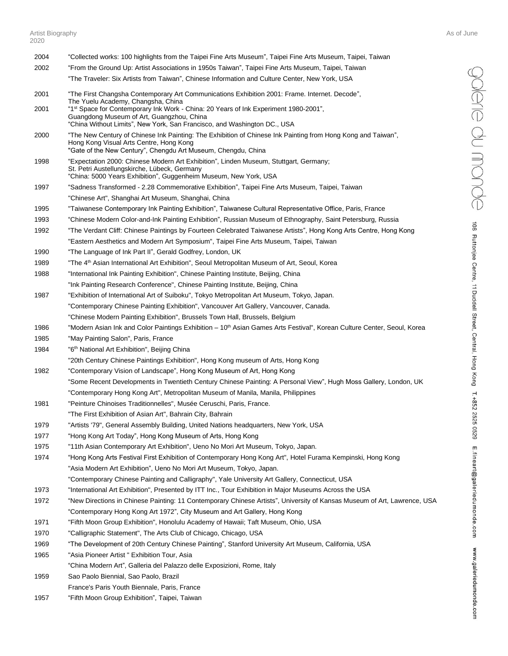- 2004 "Collected works: 100 highlights from the Taipei Fine Arts Museum", Taipei Fine Arts Museum, Taipei, Taiwan 2002 "From the Ground Up: Artist Associations in 1950s Taiwan", Taipei Fine Arts Museum, Taipei, Taiwan "The Traveler: Six Artists from Taiwan", Chinese Information and Culture Center, New York, USA 2001 "The First Changsha Contemporary Art Communications Exhibition 2001: Frame. Internet. Decode", The Yuelu Academy, Changsha, China 2001 "1<sup>st</sup> Space for Contemporary Ink Work - China: 20 Years of Ink Experiment 1980-2001", Guangdong Museum of Art, Guangzhou, China "China Without Limits", New York, San Francisco, and Washington DC., USA 2000 "The New Century of Chinese Ink Painting: The Exhibition of Chinese Ink Painting from Hong Kong and Taiwan", Hong Kong Visual Arts Centre, Hong Kong "Gate of the New Century", Chengdu Art Museum, Chengdu, China 1998 "Expectation 2000: Chinese Modern Art Exhibition", Linden Museum, Stuttgart, Germany; St. Petri Austellungskirche, Lübeck, Germany "China: 5000 Years Exhibition", Guggenheim Museum, New York, USA 1997 "Sadness Transformed - 2.28 Commemorative Exhibition", Taipei Fine Arts Museum, Taipei, Taiwan "Chinese Art", Shanghai Art Museum, Shanghai, China 1995 "Taiwanese Contemporary Ink Painting Exhibition", Taiwanese Cultural Representative Office, Paris, France 1993 "Chinese Modern Color-and-Ink Painting Exhibition", Russian Museum of Ethnography, Saint Petersburg, Russia 1992 "The Verdant Cliff: Chinese Paintings by Fourteen Celebrated Taiwanese Artists", Hong Kong Arts Centre, Hong Kong "Eastern Aesthetics and Modern Art Symposium", Taipei Fine Arts Museum, Taipei, Taiwan 1990 "The Language of Ink Part II", Gerald Godfrey, London, UK 1989 The 4<sup>th</sup> Asian International Art Exhibition", Seoul Metropolitan Museum of Art, Seoul, Korea 1988 "International Ink Painting Exhibition", Chinese Painting Institute, Beijing, China "Ink Painting Research Conference", Chinese Painting Institute, Beijing, China 1987 "Exhibition of International Art of Suiboku", Tokyo Metropolitan Art Museum, Tokyo, Japan. "Contemporary Chinese Painting Exhibition", Vancouver Art Gallery, Vancouver, Canada. "Chinese Modern Painting Exhibition", Brussels Town Hall, Brussels, Belgium 1986 "Modern Asian Ink and Color Paintings Exhibition  $-10<sup>th</sup>$  Asian Games Arts Festival", Korean Culture Center, Seoul, Korea 1985 "May Painting Salon", Paris, France 1984 "6<sup>th</sup> National Art Exhibition", Beijing China "20th Century Chinese Paintings Exhibition", Hong Kong museum of Arts, Hong Kong 1982 "Contemporary Vision of Landscape", Hong Kong Museum of Art, Hong Kong "Some Recent Developments in Twentieth Century Chinese Painting: A Personal View", Hugh Moss Gallery, London, UK "Contemporary Hong Kong Art", Metropolitan Museum of Manila, Manila, Philippines 1981 "Peinture Chinoises Traditionnelles", Musée Ceruschi, Paris, France. "The First Exhibition of Asian Art", Bahrain City, Bahrain 1979 "Artists '79", General Assembly Building, United Nations headquarters, New York, USA 1977 "Hong Kong Art Today", Hong Kong Museum of Arts, Hong Kong 1975 "11th Asian Contemporary Art Exhibition", Ueno No Mori Art Museum, Tokyo, Japan. 1974 "Hong Kong Arts Festival First Exhibition of Contemporary Hong Kong Art", Hotel Furama Kempinski, Hong Kong "Asia Modern Art Exhibition", Ueno No Mori Art Museum, Tokyo, Japan. "Contemporary Chinese Painting and Calligraphy", Yale University Art Gallery, Connecticut, USA 1973 "International Art Exhibition", Presented by ITT Inc., Tour Exhibition in Major Museums Across the USA 1972 "New Directions in Chinese Painting: 11 Contemporary Chinese Artists", University of Kansas Museum of Art, Lawrence, USA "Contemporary Hong Kong Art 1972", City Museum and Art Gallery, Hong Kong 1971 "Fifth Moon Group Exhibition", Honolulu Academy of Hawaii; Taft Museum, Ohio, USA 1970 "Calligraphic Statement", The Arts Club of Chicago, Chicago, USA 1969 "The Development of 20th Century Chinese Painting", Stanford University Art Museum, California, USA 1965 "Asia Pioneer Artist " Exhibition Tour, Asia "China Modern Art", Galleria del Palazzo delle Exposizioni, Rome, Italy 1959 Sao Paolo Biennial, Sao Paolo, Brazil France's Paris Youth Biennale, Paris, France
- 1957 "Fifth Moon Group Exhibition", Taipei, Taiwan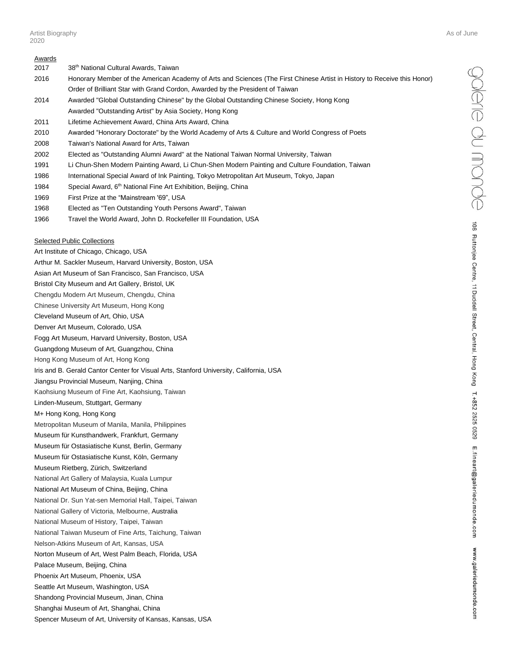- 2017 38th National Cultural Awards, Taiwan
- 2016 Honorary Member of the American Academy of Arts and Sciences (The First Chinese Artist in History to Receive this Honor) Order of Brilliant Star with Grand Cordon, Awarded by the President of Taiwan
- 2014 Awarded "Global Outstanding Chinese" by the Global Outstanding Chinese Society, Hong Kong Awarded "Outstanding Artist" by Asia Society, Hong Kong
- 2011 Lifetime Achievement Award, China Arts Award, China
- 2010 Awarded "Honorary Doctorate" by the World Academy of Arts & Culture and World Congress of Poets
- 2008 Taiwan's National Award for Arts, Taiwan
- 2002 Elected as "Outstanding Alumni Award" at the National Taiwan Normal University, Taiwan
- 1991 Li Chun-Shen Modern Painting Award, Li Chun-Shen Modern Painting and Culture Foundation, Taiwan
- 1986 International Special Award of Ink Painting, Tokyo Metropolitan Art Museum, Tokyo, Japan
- 1984 Special Award, 6<sup>th</sup> National Fine Art Exhibition, Beijing, China
- 1969 First Prize at the "Mainstream '69", USA
- 1968 Elected as "Ten Outstanding Youth Persons Award", Taiwan
- 1966 Travel the World Award, John D. Rockefeller III Foundation, USA

#### Selected Public Collections

Art Institute of Chicago, Chicago, USA Arthur M. Sackler Museum, Harvard University, Boston, USA Asian Art Museum of San Francisco, San Francisco, USA Bristol City Museum and Art Gallery, Bristol, UK Chengdu Modern Art Museum, Chengdu, China Chinese University Art Museum, Hong Kong Cleveland Museum of Art, Ohio, USA Denver Art Museum, Colorado, USA Fogg Art Museum, Harvard University, Boston, USA Guangdong Museum of Art, Guangzhou, China Hong Kong Museum of Art, Hong Kong Iris and B. Gerald Cantor Center for Visual Arts, Stanford University, California, USA Jiangsu Provincial Museum, Nanjing, China Kaohsiung Museum of Fine Art, Kaohsiung, Taiwan Linden-Museum, Stuttgart, Germany M+ Hong Kong, Hong Kong Metropolitan Museum of Manila, Manila, Philippines Museum für Kunsthandwerk, Frankfurt, Germany Museum für Ostasiatische Kunst, Berlin, Germany Museum für Ostasiatische Kunst, Köln, Germany Museum Rietberg, Zürich, Switzerland National Art Gallery of Malaysia, Kuala Lumpur National Art Museum of China, Beijing, China National Dr. Sun Yat-sen Memorial Hall, Taipei, Taiwan National Gallery of Victoria, Melbourne, Australia National Museum of History, Taipei, Taiwan National Taiwan Museum of Fine Arts, Taichung, Taiwan Nelson-Atkins Museum of Art, Kansas, USA Norton Museum of Art, West Palm Beach, Florida, USA Palace Museum, Beijing, China Phoenix Art Museum, Phoenix, USA Seattle Art Museum, Washington, USA Shandong Provincial Museum, Jinan, China Shanghai Museum of Art, Shanghai, China Spencer Museum of Art, University of Kansas, Kansas, USA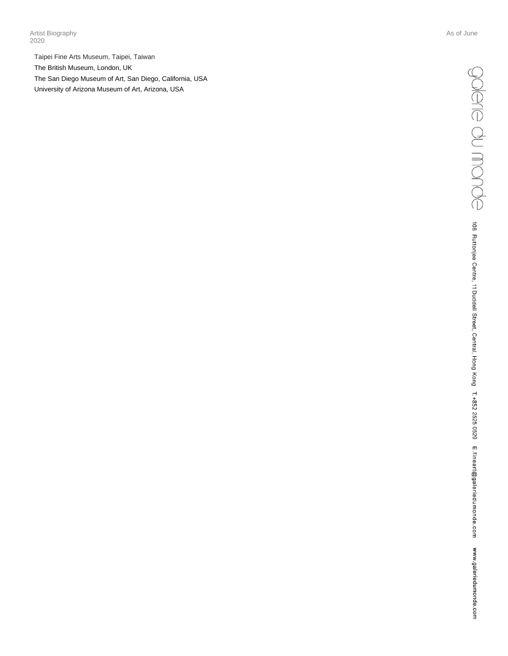Artist Biography As of June 1996 and the Second League of Assembly Assembly Assembly Assembly Assembly Assembly 2020

Taipei Fine Arts Museum, Taipei, Taiwan The British Museum, London, UK The San Diego Museum of Art, San Diego, California , USA University of Arizona Museum of Art, Arizona, USA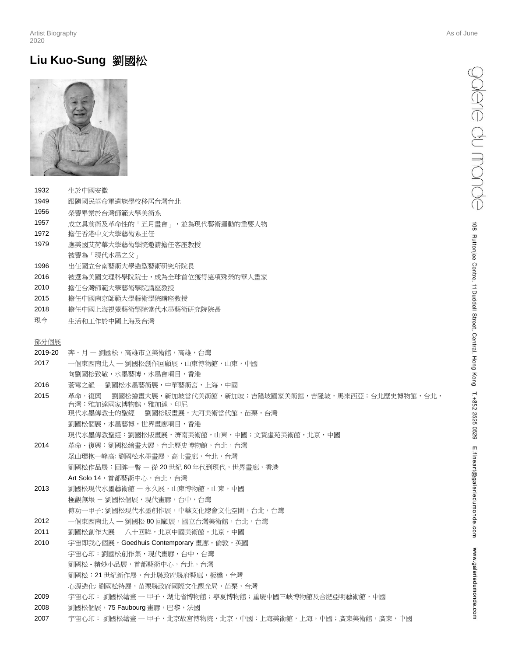## **Liu Kuo-Sung** 劉國松



- 1932 生於中國安徽
- 1949 跟隨國民革命軍遺族學校移居台灣台北
- 1956 榮譽畢業於台灣師範大學美術系
- 1957 成立具前衛及革命性的「五月畫會」,並為現代藝術運動的重要人物
- 1972 擔任香港中文大學藝術系主任
- 1979 應美國艾荷華大學藝術學院邀請擔任客座教授
- 被譽為「現代水墨之父」
- 1996 出任國立台南藝術大學造型藝術研究所院長
- 2016 被選為美國文理科學院院士,成為全球首位獲得這項殊榮的華人畫家
- 2010 擔任台灣師範大學藝術學院講座教授
- 2015 擔任中國南京師範大學藝術學院講座教授
- 2018 擔任中國上海視覺藝術學院當代水墨藝術研究院院長
- 現今 生活和工作於中國上海及台灣

### 部分個展

- 2019-20 奔·月 劉國松,高雄市立美術館,高雄,台灣
- 2017 一個東西南北人 ─ 劉國松創作回顧展,山東博物館,山東,中國 向劉國松致敬,水墨藝博,水墨會項目,香港
- 2016 蒼穹之韻 ─ 劉國松水墨藝術展,中華藝術宮,上海,中國
- 2015 革命.復興 ─ 劉國松繪畫大展,新加坡當代美術館,新加坡;吉隆坡國家美術館,吉隆坡,馬來西亞;台北歷史博物館,台北, 台灣;雅加達國家博物館,雅加達,印尼 現代水墨傳教士的聖經 - 劉國松版畫展,大河美術當代館,苗栗,台灣 劉國松個展,水墨藝博,世界畫廊項目,香港 現代水墨傳教聖經:劉國松版畫展,濟南美術館,山東,中國;文資虛苑美術館,北京,中國
- 2014 革命·復興:劉國松繪畫大展,台北歷史博物館,台北,台灣
- 眾山環抱一峰高: 劉國松水墨畫展, 高士畫廊, 台北, 台灣 劉國松作品展:回眸一瞥 — 從 20 世紀 60 年代到現代,世界畫廊,香港 Art Solo 14, 首都藝術中心, 台北, 台灣
- 2013 劉國松現代水墨藝術館 永久展,山東博物館,山東,中國 極觀無垠 - 劉國松個展,現代畫廊,台中,台灣 傳功一甲子: 劉國松現代水墨創作展,中華文化總會文化空間,台北,台灣
- 2012 一個東西南北人 一劉國松 80 回顧展,國立台灣美術館,台北,台灣
- 2011 劉國松創作大展 一 八十回眸, 北京中國美術館, 北京, 中國
- 2010 宇宙即我心個展, Goedhuis Contemporary 畫廊,倫敦,英國 宇宙心印:劉國松創作集,現代畫廊,台中,台灣 劉國松 - 精妙小品展,首都藝術中心,台北,台灣 劉國松:21世紀新作展,台北縣政府縣府藝廊,板橋,台灣 心源造化: 劉國松特展,苗栗縣政府國際文化觀光局,苗栗,台灣
- 2009 宇宙心印: 劉國松繪畫 一 甲子,湖北省博物館;寧夏博物館;重慶中國三峽博物館及合肥亞明藝術館,中國
- 2008 劉國松個展, 75 Faubourg 書廊, 巴黎, 法國
- 2007 宇宙心印: 劉國松繪畫 一 甲子,北京故宮博物院,北京,中國;上海美術館,上海,中國;廣東美術館,廣東,中國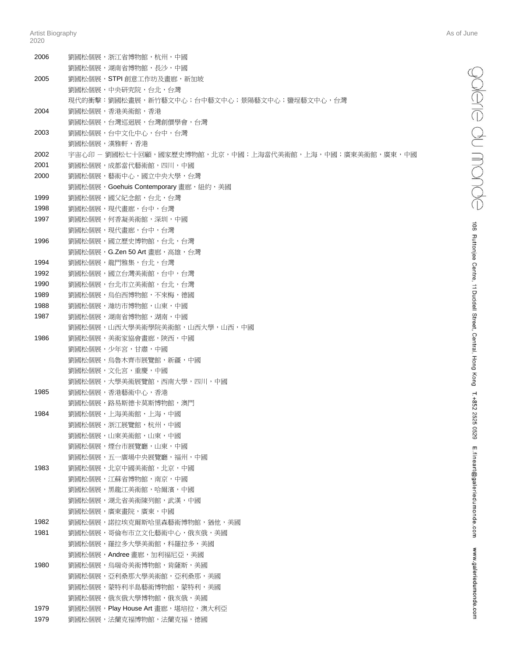| 2006 | 劉國松個展,浙江省博物館,杭州,中國                                     |
|------|--------------------------------------------------------|
|      | 劉國松個展,湖南省博物館,長沙,中國                                     |
| 2005 | 劉國松個展,STPI 創意工作坊及畫廊,新加坡                                |
|      | 劉國松個展,中央研究院,台北,台灣                                      |
|      | 現代的衝擊:劉國松畫展,新竹藝文中心;台中藝文中心;景陽藝文中心;鹽埕藝文中心,台灣             |
| 2004 | 劉國松個展,香港美術館,香港                                         |
|      | 劉國松個展,台灣巡迴展,台灣創價學會,台灣                                  |
| 2003 | 劉國松個展,台中文化中心,台中,台灣                                     |
|      | 劉國松個展,漢雅軒,香港                                           |
| 2002 | 宇宙心印 - 劉國松七十回顧,國家歷史博物館,北京,中國;上海當代美術館,上海,中國;廣東美術館,廣東,中國 |
| 2001 | 劉國松個展,成都當代藝術館,四川,中國                                    |
| 2000 | 劉國松個展,藝術中心,國立中央大學,台灣                                   |
|      | 劉國松個展,Goehuis Contemporary 畫廊,紐約,美國                    |
| 1999 | 劉國松個展,國父紀念館,台北,台灣                                      |
| 1998 | 劉國松個展,現代書廊,台中,台灣                                       |
| 1997 | 劉國松個展,何香凝美術館,深圳,中國                                     |
|      | 劉國松個展,現代畫廊,台中,台灣                                       |
| 1996 | 劉國松個展,國立歷史博物館,台北,台灣                                    |
|      | 劉國松個展,G.Zen 50 Art 書廊,高雄,台灣                            |
| 1994 | 劉國松個展,龍門雅集,台北,台灣                                       |
| 1992 | 劉國松個展,國立台灣美術館,台中,台灣                                    |
| 1990 | 劉國松個展,台北市立美術館,台北,台灣                                    |
| 1989 | 劉國松個展,烏伯西博物館,不來梅,德國                                    |
| 1988 | 劉國松個展,濰坊市博物館,山東,中國                                     |
| 1987 | 劉國松個展,湖南省博物館,湖南,中國                                     |
|      | 劉國松個展,山西大學美術學院美術館,山西大學,山西,中國                           |
| 1986 | 劉國松個展,美術家協會畫廊,陜西,中國                                    |
|      | 劉國松個展,少年宮,甘肅,中國                                        |
|      | 劉國松個展,烏魯木齊市展覽館,新疆,中國                                   |
|      | 劉國松個展,文化宮,重慶,中國                                        |
|      | 劉國松個展,大學美術展覽館,西南大學,四川,中國                               |
| 1985 | 劉國松個展,香港藝術中心,香港                                        |
|      | 劉國松個展,路易斯德卡莫斯博物館,澳門                                    |
| 1984 | 劉國松個展,上海美術館,上海,中國                                      |
|      | 劉國松個展,浙江展覽館,杭州,中國                                      |
|      | 劉國松個展,山東美術館,山東,中國                                      |
|      | 劉國松個展,煙台市展覽廳,山東,中國                                     |
|      | 劉國松個展,五一廣場中央展覽廳,福州,中國                                  |
| 1983 | 劉國松個展,北京中國美術館,北京,中國                                    |
|      | 劉國松個展,江蘇省博物館,南京,中國                                     |
|      | 劉國松個展,黑龍江美術館,哈爾濱,中國                                    |
|      | 劉國松個展,湖北省美術陳列館,武漢,中國                                   |
|      | 劉國松個展,廣東畫院,廣東,中國                                       |
| 1982 | 劉國松個展,諾拉埃克爾斯哈里森藝術博物館,猶他,美國                             |
| 1981 | 劉國松個展,哥倫布市立文化藝術中心,俄亥俄,美國                               |
|      | 劉國松個展,羅拉多大學美術館,科羅拉多,美國                                 |
|      | 劉國松個展,Andree 畫廊,加利福尼亞,美國                               |
| 1980 | 劉國松個展,烏瑞奇美術博物館,肯薩斯,美國                                  |
|      | 劉國松個展,亞利桑那大學美術館,亞利桑那,美國                                |
|      | 劉國松個展,蒙特利半島藝術博物館,蒙特利,美國                                |
|      | 劉國松個展,俄亥俄大學博物館,俄亥俄,美國                                  |
| 1979 | 劉國松個展, Play House Art 畫廊, 堪培拉, 澳大利亞                    |
| 1979 | 劉國松個展,法蘭克福博物館,法蘭克福,德國                                  |
|      |                                                        |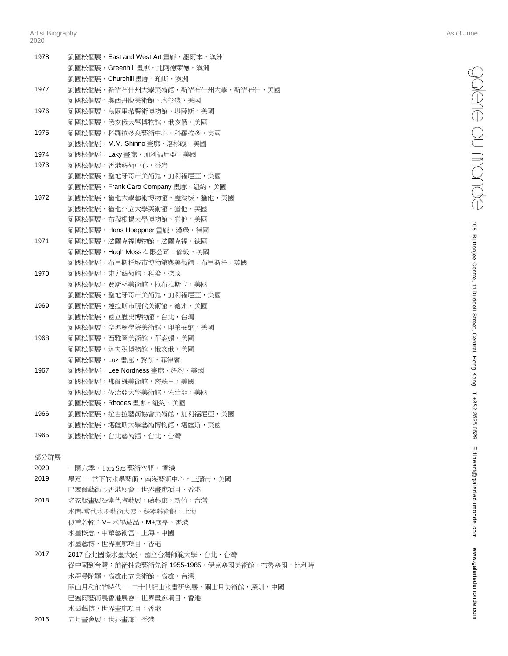| 1978 | 劉國松個展,East and West Art 畫廊,墨爾本,澳洲 |
|------|-----------------------------------|
|      | 劉國松個展,Greenhill 書廊,北阿德萊德,澳洲       |
|      | 劉國松個展,Churchill 書廊,珀斯,澳洲          |
| 1977 | 劉國松個展,新罕布什州大學美術館,新罕布什州大學,新罕布什,美國  |
|      | 劉國松個展,奧西丹脫美術館,洛杉磯,美國              |
| 1976 | 劉國松個展,烏爾里希藝術博物館,堪薩斯,美國            |
|      | 劉國松個展,俄亥俄大學博物館,俄亥俄,美國             |
| 1975 | 劉國松個展,科羅拉多泉藝術中心,科羅拉多,美國           |
|      | 劉國松個展,M.M. Shinno 畫廊,洛杉磯,美國       |
| 1974 | 劉國松個展,Laky 畫廊,加利福尼亞,美國            |
| 1973 | 劉國松個展,香港藝術中心,香港                   |
|      | 劉國松個展,聖地牙哥市美術館,加利福尼亞,美國           |
|      | 劉國松個展,Frank Caro Company 畫廊,紐約,美國 |
| 1972 | 劉國松個展,猶他大學藝術博物館,鹽湖城,猶他,美國         |
|      | 劉國松個展,猶他州立大學美術館,猶他,美國             |
|      | 劉國松個展,布瑞根揚大學博物館,猶他,美國             |
|      | 劉國松個展,Hans Hoeppner 畫廊,漢堡,德國      |
| 1971 | 劉國松個展,法蘭克福博物館,法蘭克福,德國             |
|      | 劉國松個展,Hugh Moss 有限公司,倫敦,英國        |
|      | 劉國松個展,布里斯托城市博物館與美術館,布里斯托,英國       |
| 1970 | 劉國松個展,東方藝術館,科隆,德國                 |
|      | 劉國松個展,賈斯林美術館,拉布拉斯卡,美國             |
|      | 劉國松個展,聖地牙哥市美術館,加利福尼亞,美國           |
| 1969 | 劉國松個展,達拉斯市現代美術館,德州,美國             |
|      | 劉國松個展,國立歷史博物館,台北,台灣               |
|      | 劉國松個展,聖瑪麗學院美術館,印第安納,美國            |
| 1968 | 劉國松個展,西雅圖美術館,華盛頓,美國               |
|      | 劉國松個展,塔夫脫博物館,俄亥俄,美國               |
|      | 劉國松個展,Luz 畫廊,黎剎,菲律賓               |
| 1967 | 劉國松個展,Lee Nordness 畫廊,紐約,美國       |
|      | 劉國松個展,那爾遜美術館,密蘇里,美國               |
|      | 劉國松個展,佐治亞大學美術館,佐治亞,美國             |
|      | 劉國松個展,Rhodes 畫廊,紐約,美國             |
| 1966 | 劉國松個展,拉古拉藝術協會美術館,加利福尼亞,美國         |
|      | 劉國松個展,堪薩斯大學藝術博物館,堪薩斯,美國           |
| 1965 | 劉國松個展,台北藝術館,台北,台灣                 |
| 部分群展 |                                   |
| 2020 | 一園六季, Para Site 藝術空間, 香港          |
|      |                                   |

2019 墨意 - 當下的水墨藝術,南海藝術中心,三藩市,美國 巴塞爾藝術展香港展會,世界畫廊項目,香港 2018 名家版畫展暨當代陶藝展,藤藝廊,新竹,台灣 水問-當代水墨藝術大展,蘇寧藝術館,上海 似重若輕: M+ 水墨藏品, M+展亭, 香港 水墨概念,中華藝術宮,上海,中國 水墨藝博,世界畫廊項目,香港 2017 2017 台北國際水墨大展,國立台灣師範大學,台北,台灣

- 從中國到台灣:前衛抽象藝術先鋒 1955-1985,伊克塞爾美術館,布魯塞爾,比利時 水墨曼陀羅,高雄市立美術館,高雄,台灣 關山月和他的時代 - 二十世紀山水畫研究展,關山月美術館,深圳,中國 巴塞爾藝術展香港展會,世界畫廊項目,香港 水墨藝博,世界畫廊項目,香港
- 2016 五月畫會展,世界畫廊,香港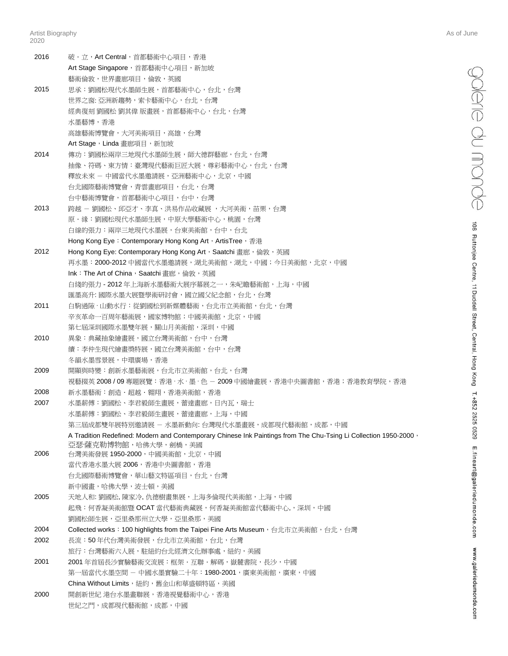| 2016 | 破•立,Art Central,首都藝術中心項目,香港                                                                                      |
|------|------------------------------------------------------------------------------------------------------------------|
|      | Art Stage Singapore, 首都藝術中心項目, 新加坡                                                                               |
|      | 藝術倫敦,世界書廊項目,倫敦,英國                                                                                                |
| 2015 | 思承:劉國松現代水墨師生展,首都藝術中心,台北,台灣                                                                                       |
|      | 世界之窗: 亞洲新趨勢,索卡藝術中心,台北,台灣                                                                                         |
|      | 經典復刻 劉國松 劉其偉 版畫展,首都藝術中心,台北,台灣                                                                                    |
|      | 水墨藝博,香港                                                                                                          |
|      | 高雄藝術博覽會,大河美術項目,高雄,台灣                                                                                             |
|      | Art Stage, Linda 畫廊項目, 新加坡                                                                                       |
| 2014 | 傳功:劉國松兩岸三地現代水墨師生展,師大德群藝廊,台北,台灣                                                                                   |
|      | 抽像、符碼、東方情:臺灣現代藝術巨匠大展,尊彩藝術中心,台北,台灣                                                                                |
|      | 釋放未來 - 中國當代水墨邀請展,亞洲藝術中心,北京,中國                                                                                    |
|      | 台北國際藝術博覽會,青雲畫廊項目,台北,台灣                                                                                           |
|      | 台中藝術博覽會,首都藝術中心項目,台中,台灣                                                                                           |
| 2013 | 跨越 - 劉國松、邱亞才、李真、洪易作品收藏展 ,大河美術,苗栗,台灣                                                                              |
|      | 原・緣:劉國松現代水墨師生展,中原大學藝術中心,桃園,台灣                                                                                    |
|      | 白線的張力:兩岸三地現代水墨展,台東美術館,台中,台北                                                                                      |
|      | Hong Kong Eye: Contemporary Hong Kong Art, ArtisTree, 香港                                                         |
| 2012 | Hong Kong Eye: Contemporary Hong Kong Art, Saatchi 畫廊, 倫敦, 英國                                                    |
|      | 再水墨:2000-2012 中國當代水墨邀請展,湖北美術館,湖北,中國;今日美術館,北京,中國                                                                  |
|      | Ink: The Art of China, Saatchi 書廊, 倫敦, 英國                                                                        |
|      | 白綫的張力 - 2012 年上海新水墨藝術大展序幕展之一,朱屺瞻藝術館,上海,中國                                                                        |
|      | 匯墨高升: 國際水墨大展暨學術研討會,國立國父紀念館,台北,台灣                                                                                 |
| 2011 | 白駒過隙・山動水行:從劉國松到新媒體藝術,台北市立美術館,台北,台灣                                                                               |
|      | 辛亥革命一百周年藝術展,國家博物館;中國美術館,北京,中國                                                                                    |
|      | 第七屆深圳國際水墨雙年展,關山月美術館,深圳,中國                                                                                        |
| 2010 | 異象:典藏抽象繪畫展,國立台灣美術館,台中,台灣                                                                                         |
|      | 續:李仲生現代繪畫獎特展,國立台灣美術館,台中,台灣                                                                                       |
|      | 冬韻水墨雪景展,中環廣場,香港                                                                                                  |
| 2009 | 開顯與時變:創新水墨藝術展,台北市立美術館,台北,台灣                                                                                      |
|      | 視藝掇英 2008 / 09 專題展覽:香港 · 水 · 墨 · 色 - 2009 中國繪畫展,香港中央圖書館,香港;香港教育學院,香港                                             |
| 2008 | 新水墨藝術:創造・超越・翱翔,香港美術館,香港                                                                                          |
| 2007 | 水墨薪傅:劉國松、李君毅師生畫展,蕾達畫廊,日內瓦,瑞士                                                                                     |
|      | 水墨薪傅:劉國松、李君毅師生畫展,蕾達畫廊,上海,中國                                                                                      |
|      | 第三屆成都雙年展特別邀請展 - 水墨新動向: 台灣現代水墨畫展,成都現代藝術館,成都,中國                                                                    |
|      | A Tradition Redefined: Modern and Contemporary Chinese Ink Paintings from The Chu-Tsing Li Collection 1950-2000, |
|      | 亞瑟·薩克勒博物館,哈佛大學,劍橋,美國                                                                                             |
| 2006 | 台灣美術發展 1950-2000,中國美術館,北京,中國                                                                                     |
|      | 當代香港水墨大展 2006,香港中央圖書館,香港                                                                                         |
|      | 台北國際藝術博覽會,華山藝文特區項目,台北,台灣                                                                                         |
|      | 新中國畫,哈佛大學,波士頓,美國                                                                                                 |
| 2005 | 天地人和: 劉國松, 陳家冷, 仇德樹書集展,上海多倫現代美術館,上海,中國                                                                           |
|      | 起飛:何香凝美術館暨 OCAT 當代藝術典藏展,何香凝美術館當代藝術中心,,深圳,中國                                                                      |
|      | 劉國松師生展,亞里桑那州立大學,亞里桑那,美國                                                                                          |
| 2004 | Collected works: 100 highlights from the Taipei Fine Arts Museum, 台北市立美術館, 台北, 台灣                                |
| 2002 | 長流:50 年代台灣美術發展,台北市立美術館,台北,台灣                                                                                     |
|      | 旅行:台灣藝術六人展,駐紐約台北經濟文化辦事處,紐約,美國                                                                                    |
| 2001 | 2001 年首屆長沙實驗藝術交流展:框架‧互聯‧解碼,嶽麓書院,長沙,中國                                                                            |
|      | 第一屆當代水墨空間 - 中國水墨實驗二十年:1980-2001,廣東美術館,廣東,中國                                                                      |
|      | China Without Limits,紐約,舊金山和華盛頓特區,美國                                                                             |
| 2000 | 開創新世紀 港台水墨畫聯展,香港視覺藝術中心,香港                                                                                        |
|      | 世紀之門,成都現代藝術館,成都,中國                                                                                               |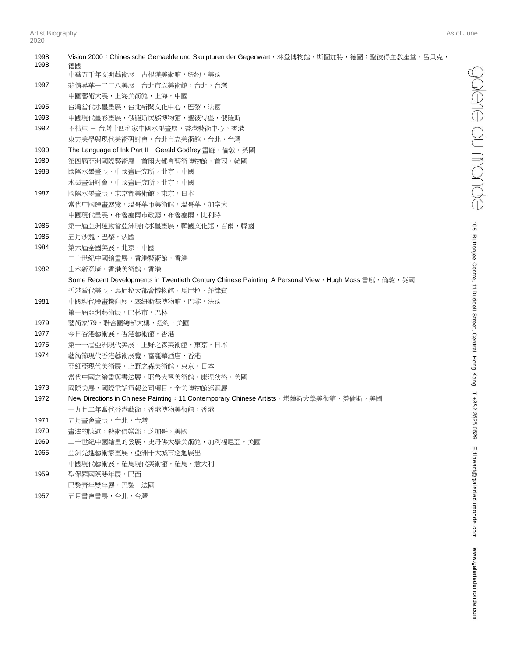| 1998<br>1998 | Vision 2000: Chinesische Gemaelde und Skulpturen der Gegenwart, 林登博物館, 斯圖加特, 德國; 聖彼得主教座堂, 呂貝克,<br>德國  |
|--------------|-------------------------------------------------------------------------------------------------------|
|              | 中華五千年文明藝術展,古根漢美術館,紐約,美國                                                                               |
| 1997         | 悲情昇華―二二八美展,台北市立美術館,台北,台灣                                                                              |
|              | 中國藝術大展,上海美術館,上海,中國                                                                                    |
| 1995         | 台灣當代水墨畫展,台北新聞文化中心,巴黎,法國                                                                               |
| 1993         | 中國現代墨彩畫展,俄羅斯民族博物館,聖彼得堡,俄羅斯                                                                            |
| 1992         | 不枯崖 – 台灣十四名家中國水墨畫展,香港藝術中心,香港                                                                          |
|              | 東方美學與現代美術研討會,台北市立美術館,台北,台灣                                                                            |
| 1990         | The Language of Ink Part II, Gerald Godfrey 畫廊, 倫敦, 英國                                                |
| 1989         | 第四屆亞洲國際藝術展,首爾大都會藝術博物館,首爾,韓國                                                                           |
| 1988         | 國際水墨畫展,中國畫研究所,北京,中國                                                                                   |
|              | 水墨畫研討會,中國畫研究所,北京,中國                                                                                   |
| 1987         | 國際水墨畫展,東京都美術館,東京,日本                                                                                   |
|              | 當代中國繪畫展覽,溫哥華市美術館,溫哥華,加拿大                                                                              |
|              | 中國現代畫展,布魯塞爾市政廳,布魯塞爾,比利時                                                                               |
| 1986         | 第十屆亞洲運動會亞洲現代水墨畫展,韓國文化館,首爾,韓國                                                                          |
| 1985         | 五月沙龍,巴黎,法國                                                                                            |
| 1984         | 第六屆全國美展,北京,中國                                                                                         |
|              | 二十世紀中國繪畫展,香港藝術館,香港                                                                                    |
| 1982         | 山水新意境,香港美術館,香港                                                                                        |
|              | Some Recent Developments in Twentieth Century Chinese Painting: A Personal View, Hugh Moss 畫廊, 倫敦, 英國 |
|              | 香港當代美展,馬尼拉大都會博物館,馬尼拉,菲律賓                                                                              |
| 1981         | 中國現代繪畫趨向展,塞紐斯基博物館,巴黎,法國                                                                               |
|              | 第一屆亞洲藝術展,巴林市,巴林                                                                                       |
| 1979         | 藝術家'79,聯合國總部大樓,紐約,美國                                                                                  |
| 1977         | 今日香港藝術展,香港藝術館,香港                                                                                      |
| 1975         | 第十一屆亞洲現代美展,上野之森美術館,東京,日本                                                                              |
| 1974         | 藝術節現代香港藝術展覽,富麗華酒店,香港                                                                                  |
|              | 亞細亞現代美術展,上野之森美術館,東京,日本                                                                                |
|              | 當代中國之繪畫與書法展,耶魯大學美術館,康涅狄格,美國                                                                           |
| 1973         | 國際美展,國際電話電報公司項目,全美博物館巡迴展                                                                              |
| 1972         | New Directions in Chinese Painting: 11 Contemporary Chinese Artists, 堪薩斯大學美術館,勞倫斯,美國                  |
|              | 一九七二年當代香港藝術,香港博物美術館,香港                                                                                |
| 1971         | 五月畫會畫展,台北,台灣                                                                                          |
| 1970         | 書法的陳述,藝術俱樂部,芝加哥,美國                                                                                    |
| 1969         | 二十世紀中國繪畫的發展,史丹佛大學美術館,加利福尼亞,美國                                                                         |
| 1965         | 亞洲先進藝術家畫展,亞洲十大城市巡迴展出                                                                                  |
|              | 中國現代藝術展,羅馬現代美術館,羅馬,意大利                                                                                |
| 1959         | 聖保羅國際雙年展,巴西                                                                                           |
|              | 巴黎青年雙年展,巴黎,法國                                                                                         |
| 1057         | 工日聿命聿曱,厶非,厶邀                                                                                          |

1957 五月畫會畫展,台北,台灣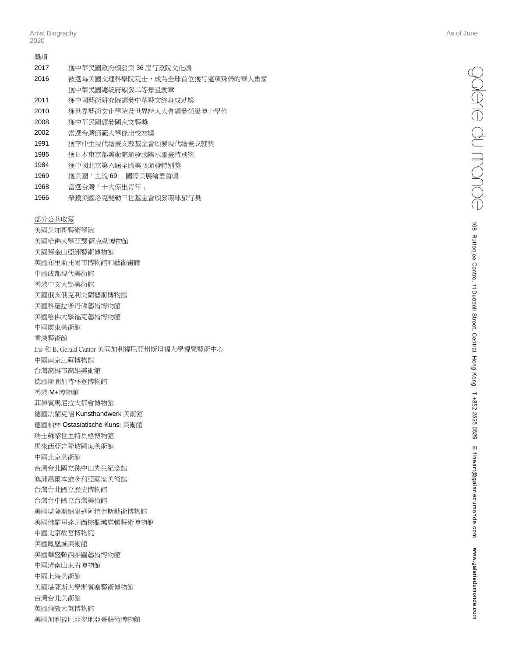| 獎項   |                                |
|------|--------------------------------|
| 2017 | 獲中華民國政府頒發第36屆行政院文化獎            |
| 2016 | 被選為美國文理科學院院十,成為全球首位獲得這項殊榮的華人書家 |
|      | 獲中華民國總統府頒發二等景星動章               |
| 2011 | 獲中國藝術研究院頒發中華藝文終身成就獎            |
| 2010 | 獲世界藝術文化學院及世界詩人大會頒發榮譽博士學位       |
| 2008 | 獲中華民國頒發國家文藝獎                   |
| 2002 | 當選台灣師範大學傑出校友獎                  |
| 1991 | 獲李仲牛現代繪書文教基金會頒發現代繪書成就獎         |
| 1986 | 獲日本東京都美術館頒發國際水墨書特別獎            |
| 1984 | 獲中國北京第六屆全國美展頒發特別獎              |
| 1969 | 獲美國「主流 69 」國際美展繪書首獎            |
|      |                                |

- 1968 當選台灣「十大傑出青年」
- 1966 榮獲美國洛克斐勒三世基金會頒發環球旅行獎

部分公共收藏 美國芝加哥藝術學院

美國哈佛大學亞瑟·薩克勒博物館 美國舊金山亞洲藝術博物館 英國布里斯托爾市博物館和藝術畫廊 中國成都現代美術館 香港中文大學美術館 美國俄亥俄克利夫蘭藝術博物館 美國科羅拉多丹佛藝術博物館 美國哈佛大學福克藝術博物館 中國廣東美術館 香港藝術館 Iris 和 B. Gerald Cantor 美國加利福尼亞州斯坦福大學視覺藝術中心 中國南京江蘇博物館 台灣高雄市高雄美術館 德國斯圖加特林登博物館 香港 M+博物館 菲律賓馬尼拉大都會博物館 德國法蘭克福 Kunsthandwerk 美術館 德國柏林 Ostasiatische Kunst 美術館 瑞士蘇黎世里特貝格博物館 馬來西亞吉隆坡國家美術館 中國北京美術館 台灣台北國立孫中山先生紀念館 澳洲墨爾本維多利亞國家美術館 台灣台北國立歷史博物館 台灣台中國立台灣美術館 美國堪薩斯納爾遜阿特金斯藝術博物館 美國佛羅里達州西棕櫚灘諾頓藝術博物館 中國北京故宮博物院 美國鳳凰城美術館 美國華盛頓西雅圖藝術博物館 中國濟南山東省博物館 中國上海美術館 美國堪薩斯大學斯賓塞藝術博物館 台灣台北美術館 英國倫敦大英博物館 美國加利福尼亞聖地亞哥藝術博物館